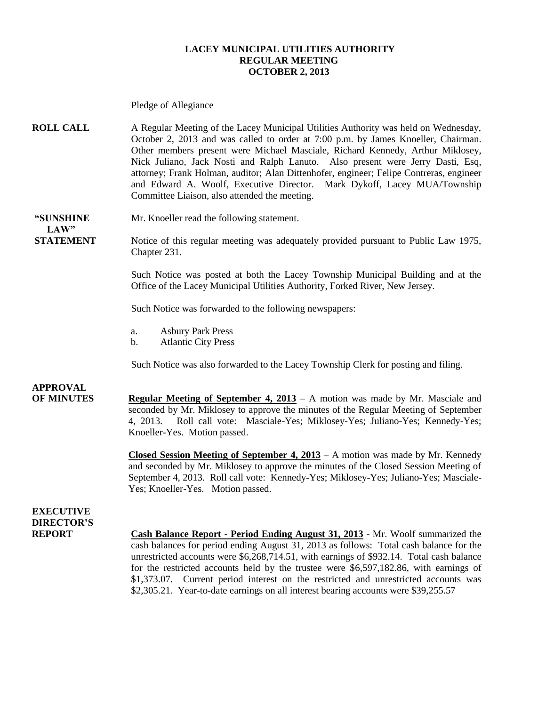### **LACEY MUNICIPAL UTILITIES AUTHORITY REGULAR MEETING OCTOBER 2, 2013**

Pledge of Allegiance **ROLL CALL** A Regular Meeting of the Lacey Municipal Utilities Authority was held on Wednesday, October 2, 2013 and was called to order at 7:00 p.m. by James Knoeller, Chairman. Other members present were Michael Masciale, Richard Kennedy, Arthur Miklosey, Nick Juliano, Jack Nosti and Ralph Lanuto.Also present were Jerry Dasti, Esq, attorney; Frank Holman, auditor; Alan Dittenhofer, engineer; Felipe Contreras, engineer and Edward A. Woolf, Executive Director. Mark Dykoff, Lacey MUA/Township Committee Liaison, also attended the meeting. **"SUNSHINE** Mr. Knoeller read the following statement.  $LAW"$ **STATEMENT** Notice of this regular meeting was adequately provided pursuant to Public Law 1975, Chapter 231. Such Notice was posted at both the Lacey Township Municipal Building and at the Office of the Lacey Municipal Utilities Authority, Forked River, New Jersey. Such Notice was forwarded to the following newspapers: a. Asbury Park Press b. Atlantic City Press Such Notice was also forwarded to the Lacey Township Clerk for posting and filing. **APPROVAL OF MINUTES Regular Meeting of September 4, 2013** – A motion was made by Mr. Masciale and seconded by Mr. Miklosey to approve the minutes of the Regular Meeting of September 4, 2013. Roll call vote: Masciale-Yes; Miklosey-Yes; Juliano-Yes; Kennedy-Yes; Knoeller-Yes. Motion passed. **Closed Session Meeting of September 4, 2013** – A motion was made by Mr. Kennedy and seconded by Mr. Miklosey to approve the minutes of the Closed Session Meeting of September 4, 2013. Roll call vote: Kennedy-Yes; Miklosey-Yes; Juliano-Yes; Masciale-Yes; Knoeller-Yes. Motion passed. **EXECUTIVE DIRECTOR'S REPORT Cash Balance Report - Period Ending August 31, 2013** - Mr. Woolf summarized the cash balances for period ending August 31, 2013 as follows: Total cash balance for the unrestricted accounts were \$6,268,714.51, with earnings of \$932.14. Total cash balance for the restricted accounts held by the trustee were \$6,597,182.86, with earnings of \$1,373.07. Current period interest on the restricted and unrestricted accounts was \$2,305.21. Year-to-date earnings on all interest bearing accounts were \$39,255.57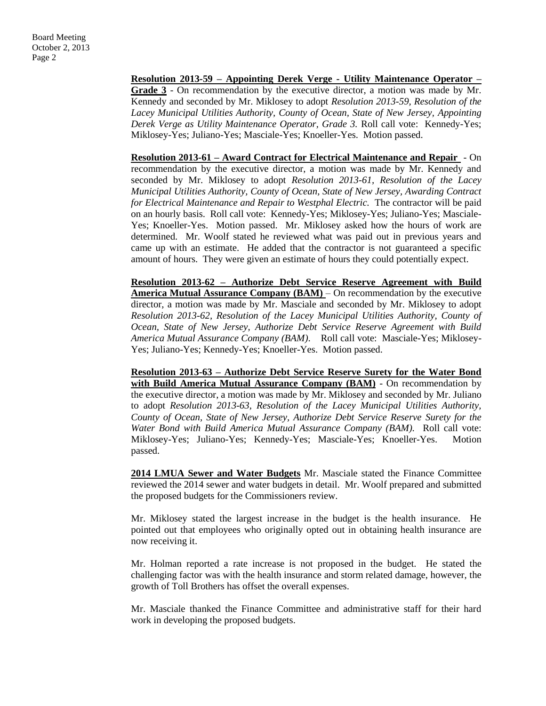**Resolution 2013-59 – Appointing Derek Verge - Utility Maintenance Operator – Grade 3** - On recommendation by the executive director, a motion was made by Mr. Kennedy and seconded by Mr. Miklosey to adopt *Resolution 2013-59, Resolution of the Lacey Municipal Utilities Authority, County of Ocean, State of New Jersey, Appointing Derek Verge as Utility Maintenance Operator, Grade 3.* Roll call vote: Kennedy-Yes; Miklosey-Yes; Juliano-Yes; Masciale-Yes; Knoeller-Yes. Motion passed.

**Resolution 2013-61 – Award Contract for Electrical Maintenance and Repair** - On recommendation by the executive director, a motion was made by Mr. Kennedy and seconded by Mr. Miklosey to adopt *Resolution 2013-61, Resolution of the Lacey Municipal Utilities Authority, County of Ocean, State of New Jersey, Awarding Contract for Electrical Maintenance and Repair to Westphal Electric.* The contractor will be paid on an hourly basis. Roll call vote: Kennedy-Yes; Miklosey-Yes; Juliano-Yes; Masciale-Yes; Knoeller-Yes. Motion passed. Mr. Miklosey asked how the hours of work are determined. Mr. Woolf stated he reviewed what was paid out in previous years and came up with an estimate. He added that the contractor is not guaranteed a specific amount of hours. They were given an estimate of hours they could potentially expect.

**Resolution 2013-62 – Authorize Debt Service Reserve Agreement with Build America Mutual Assurance Company (BAM)** – On recommendation by the executive director, a motion was made by Mr. Masciale and seconded by Mr. Miklosey to adopt *Resolution 2013-62, Resolution of the Lacey Municipal Utilities Authority, County of Ocean, State of New Jersey, Authorize Debt Service Reserve Agreement with Build America Mutual Assurance Company (BAM)*. Roll call vote: Masciale-Yes; Miklosey-Yes; Juliano-Yes; Kennedy-Yes; Knoeller-Yes. Motion passed.

**Resolution 2013-63 – Authorize Debt Service Reserve Surety for the Water Bond with Build America Mutual Assurance Company (BAM)** - On recommendation by the executive director, a motion was made by Mr. Miklosey and seconded by Mr. Juliano to adopt *Resolution 2013-63, Resolution of the Lacey Municipal Utilities Authority, County of Ocean, State of New Jersey, Authorize Debt Service Reserve Surety for the Water Bond with Build America Mutual Assurance Company (BAM).* Roll call vote: Miklosey-Yes; Juliano-Yes; Kennedy-Yes; Masciale-Yes; Knoeller-Yes. Motion passed.

**2014 LMUA Sewer and Water Budgets** Mr. Masciale stated the Finance Committee reviewed the 2014 sewer and water budgets in detail. Mr. Woolf prepared and submitted the proposed budgets for the Commissioners review.

Mr. Miklosey stated the largest increase in the budget is the health insurance. He pointed out that employees who originally opted out in obtaining health insurance are now receiving it.

Mr. Holman reported a rate increase is not proposed in the budget. He stated the challenging factor was with the health insurance and storm related damage, however, the growth of Toll Brothers has offset the overall expenses.

Mr. Masciale thanked the Finance Committee and administrative staff for their hard work in developing the proposed budgets.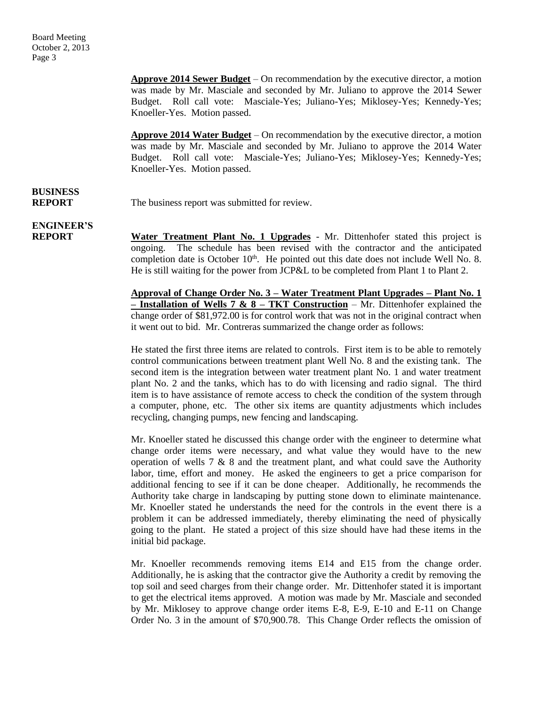**Approve 2014 Sewer Budget** – On recommendation by the executive director, a motion was made by Mr. Masciale and seconded by Mr. Juliano to approve the 2014 Sewer Budget. Roll call vote: Masciale-Yes; Juliano-Yes; Miklosey-Yes; Kennedy-Yes; Knoeller-Yes. Motion passed.

**Approve 2014 Water Budget** – On recommendation by the executive director, a motion was made by Mr. Masciale and seconded by Mr. Juliano to approve the 2014 Water Budget. Roll call vote: Masciale-Yes; Juliano-Yes; Miklosey-Yes; Kennedy-Yes; Knoeller-Yes. Motion passed.

# **BUSINESS**

**REPORT** The business report was submitted for review.

**ENGINEER'S**

**REPORT Water Treatment Plant No. 1 Upgrades** - Mr. Dittenhofer stated this project is ongoing. The schedule has been revised with the contractor and the anticipated completion date is October  $10<sup>th</sup>$ . He pointed out this date does not include Well No. 8. He is still waiting for the power from JCP&L to be completed from Plant 1 to Plant 2.

> **Approval of Change Order No. 3 – Water Treatment Plant Upgrades – Plant No. 1 – Installation of Wells 7 & 8 – TKT Construction** – Mr. Dittenhofer explained the change order of \$81,972.00 is for control work that was not in the original contract when it went out to bid. Mr. Contreras summarized the change order as follows:

> He stated the first three items are related to controls. First item is to be able to remotely control communications between treatment plant Well No. 8 and the existing tank. The second item is the integration between water treatment plant No. 1 and water treatment plant No. 2 and the tanks, which has to do with licensing and radio signal. The third item is to have assistance of remote access to check the condition of the system through a computer, phone, etc. The other six items are quantity adjustments which includes recycling, changing pumps, new fencing and landscaping.

> Mr. Knoeller stated he discussed this change order with the engineer to determine what change order items were necessary, and what value they would have to the new operation of wells  $7 \& 8$  and the treatment plant, and what could save the Authority labor, time, effort and money. He asked the engineers to get a price comparison for additional fencing to see if it can be done cheaper. Additionally, he recommends the Authority take charge in landscaping by putting stone down to eliminate maintenance. Mr. Knoeller stated he understands the need for the controls in the event there is a problem it can be addressed immediately, thereby eliminating the need of physically going to the plant. He stated a project of this size should have had these items in the initial bid package.

> Mr. Knoeller recommends removing items E14 and E15 from the change order. Additionally, he is asking that the contractor give the Authority a credit by removing the top soil and seed charges from their change order. Mr. Dittenhofer stated it is important to get the electrical items approved. A motion was made by Mr. Masciale and seconded by Mr. Miklosey to approve change order items E-8, E-9, E-10 and E-11 on Change Order No. 3 in the amount of \$70,900.78. This Change Order reflects the omission of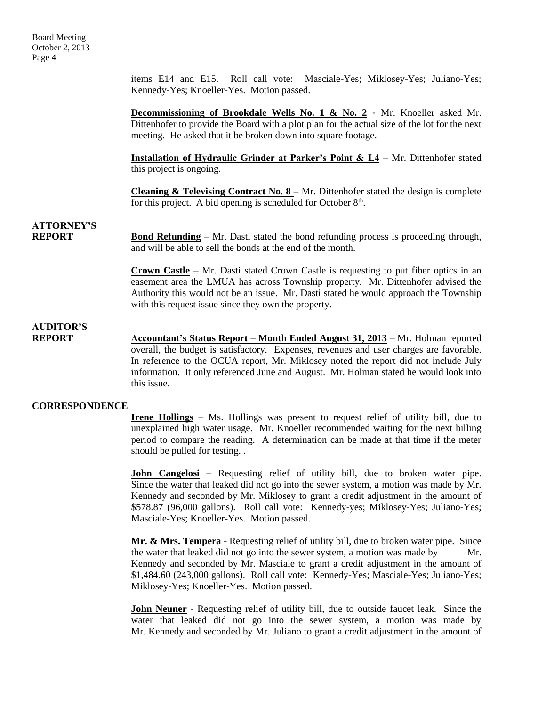items E14 and E15. Roll call vote: Masciale-Yes; Miklosey-Yes; Juliano-Yes; Kennedy-Yes; Knoeller-Yes. Motion passed.

**Decommissioning of Brookdale Wells No. 1 & No. 2** - Mr. Knoeller asked Mr. Dittenhofer to provide the Board with a plot plan for the actual size of the lot for the next meeting. He asked that it be broken down into square footage.

**Installation of Hydraulic Grinder at Parker's Point & L4** – Mr. Dittenhofer stated this project is ongoing.

**Cleaning & Televising Contract No. 8** – Mr. Dittenhofer stated the design is complete for this project. A bid opening is scheduled for October  $8<sup>th</sup>$ .

## **ATTORNEY'S**

**REPORT Bond Refunding** – Mr. Dasti stated the bond refunding process is proceeding through, and will be able to sell the bonds at the end of the month.

> **Crown Castle** – Mr. Dasti stated Crown Castle is requesting to put fiber optics in an easement area the LMUA has across Township property. Mr. Dittenhofer advised the Authority this would not be an issue. Mr. Dasti stated he would approach the Township with this request issue since they own the property.

### **AUDITOR'S**

**REPORT Accountant's Status Report – Month Ended August 31, 2013** – Mr. Holman reported overall, the budget is satisfactory. Expenses, revenues and user charges are favorable. In reference to the OCUA report, Mr. Miklosey noted the report did not include July information. It only referenced June and August. Mr. Holman stated he would look into this issue.

### **CORRESPONDENCE**

**Irene Hollings** – Ms. Hollings was present to request relief of utility bill, due to unexplained high water usage. Mr. Knoeller recommended waiting for the next billing period to compare the reading. A determination can be made at that time if the meter should be pulled for testing. .

**John Cangelosi** – Requesting relief of utility bill, due to broken water pipe. Since the water that leaked did not go into the sewer system, a motion was made by Mr. Kennedy and seconded by Mr. Miklosey to grant a credit adjustment in the amount of \$578.87 (96,000 gallons). Roll call vote: Kennedy-yes; Miklosey-Yes; Juliano-Yes; Masciale-Yes; Knoeller-Yes. Motion passed.

**Mr. & Mrs. Tempera** - Requesting relief of utility bill, due to broken water pipe. Since the water that leaked did not go into the sewer system, a motion was made by Mr. Kennedy and seconded by Mr. Masciale to grant a credit adjustment in the amount of \$1,484.60 (243,000 gallons). Roll call vote: Kennedy-Yes; Masciale-Yes; Juliano-Yes; Miklosey-Yes; Knoeller-Yes. Motion passed.

**John Neuner** - Requesting relief of utility bill, due to outside faucet leak. Since the water that leaked did not go into the sewer system, a motion was made by Mr. Kennedy and seconded by Mr. Juliano to grant a credit adjustment in the amount of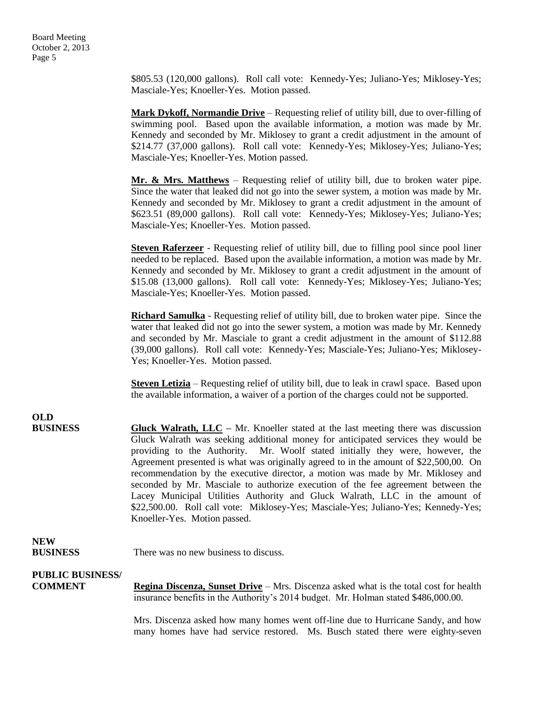\$805.53 (120,000 gallons). Roll call vote: Kennedy-Yes; Juliano-Yes; Miklosey-Yes; Masciale-Yes; Knoeller-Yes. Motion passed.

**Mark Dykoff, Normandie Drive** – Requesting relief of utility bill, due to over-filling of swimming pool. Based upon the available information, a motion was made by Mr. Kennedy and seconded by Mr. Miklosey to grant a credit adjustment in the amount of \$214.77 (37,000 gallons). Roll call vote: Kennedy-Yes; Miklosey-Yes; Juliano-Yes; Masciale-Yes; Knoeller-Yes. Motion passed.

**Mr. & Mrs. Matthews** – Requesting relief of utility bill, due to broken water pipe. Since the water that leaked did not go into the sewer system, a motion was made by Mr. Kennedy and seconded by Mr. Miklosey to grant a credit adjustment in the amount of \$623.51 (89,000 gallons). Roll call vote: Kennedy-Yes; Miklosey-Yes; Juliano-Yes; Masciale-Yes; Knoeller-Yes. Motion passed.

**Steven Raferzeer** - Requesting relief of utility bill, due to filling pool since pool liner needed to be replaced. Based upon the available information, a motion was made by Mr. Kennedy and seconded by Mr. Miklosey to grant a credit adjustment in the amount of \$15.08 (13,000 gallons). Roll call vote: Kennedy-Yes; Miklosey-Yes; Juliano-Yes; Masciale-Yes; Knoeller-Yes. Motion passed.

**Richard Samulka** - Requesting relief of utility bill, due to broken water pipe. Since the water that leaked did not go into the sewer system, a motion was made by Mr. Kennedy and seconded by Mr. Masciale to grant a credit adjustment in the amount of \$112.88 (39,000 gallons). Roll call vote: Kennedy-Yes; Masciale-Yes; Juliano-Yes; Miklosey-Yes; Knoeller-Yes. Motion passed.

**Steven Letizia** – Requesting relief of utility bill, due to leak in crawl space. Based upon the available information, a waiver of a portion of the charges could not be supported.

**OLD BUSINESS Gluck Walrath, LLC** – Mr. Knoeller stated at the last meeting there was discussion Gluck Walrath was seeking additional money for anticipated services they would be providing to the Authority. Mr. Woolf stated initially they were, however, the Agreement presented is what was originally agreed to in the amount of \$22,500,00. On recommendation by the executive director, a motion was made by Mr. Miklosey and seconded by Mr. Masciale to authorize execution of the fee agreement between the Lacey Municipal Utilities Authority and Gluck Walrath, LLC in the amount of \$22,500.00. Roll call vote: Miklosey-Yes; Masciale-Yes; Juliano-Yes; Kennedy-Yes; Knoeller-Yes. Motion passed.

#### **NEW BUSINESS** There was no new business to discuss.

## **PUBLIC BUSINESS/**

**COMMENT Regina Discenza, Sunset Drive** – Mrs. Discenza asked what is the total cost for health insurance benefits in the Authority's 2014 budget. Mr. Holman stated \$486,000.00.

> Mrs. Discenza asked how many homes went off-line due to Hurricane Sandy, and how many homes have had service restored. Ms. Busch stated there were eighty-seven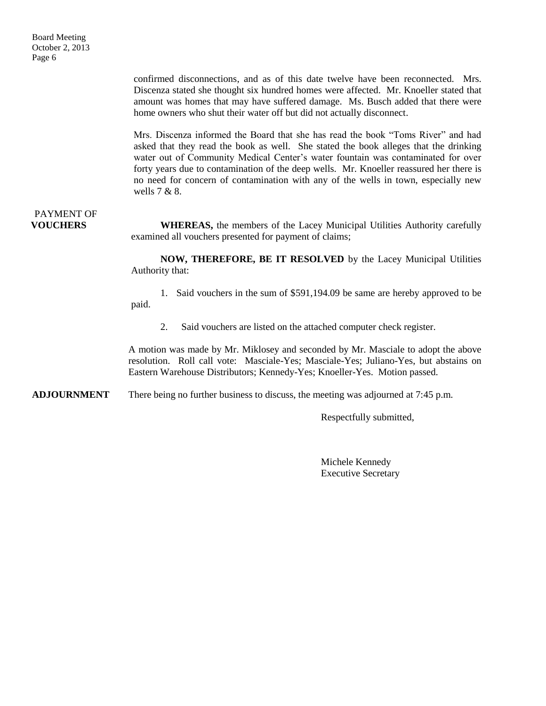confirmed disconnections, and as of this date twelve have been reconnected. Mrs. Discenza stated she thought six hundred homes were affected. Mr. Knoeller stated that amount was homes that may have suffered damage. Ms. Busch added that there were home owners who shut their water off but did not actually disconnect.

Mrs. Discenza informed the Board that she has read the book "Toms River" and had asked that they read the book as well. She stated the book alleges that the drinking water out of Community Medical Center's water fountain was contaminated for over forty years due to contamination of the deep wells. Mr. Knoeller reassured her there is no need for concern of contamination with any of the wells in town, especially new wells 7 & 8.

# PAYMENT OF

**VOUCHERS** WHEREAS, the members of the Lacey Municipal Utilities Authority carefully examined all vouchers presented for payment of claims;

> **NOW, THEREFORE, BE IT RESOLVED** by the Lacey Municipal Utilities Authority that:

> 1. Said vouchers in the sum of \$591,194.09 be same are hereby approved to be paid.

2. Said vouchers are listed on the attached computer check register.

A motion was made by Mr. Miklosey and seconded by Mr. Masciale to adopt the above resolution. Roll call vote: Masciale-Yes; Masciale-Yes; Juliano-Yes, but abstains on Eastern Warehouse Distributors; Kennedy-Yes; Knoeller-Yes. Motion passed.

**ADJOURNMENT** There being no further business to discuss, the meeting was adjourned at 7:45 p.m.

Respectfully submitted,

Michele Kennedy Executive Secretary